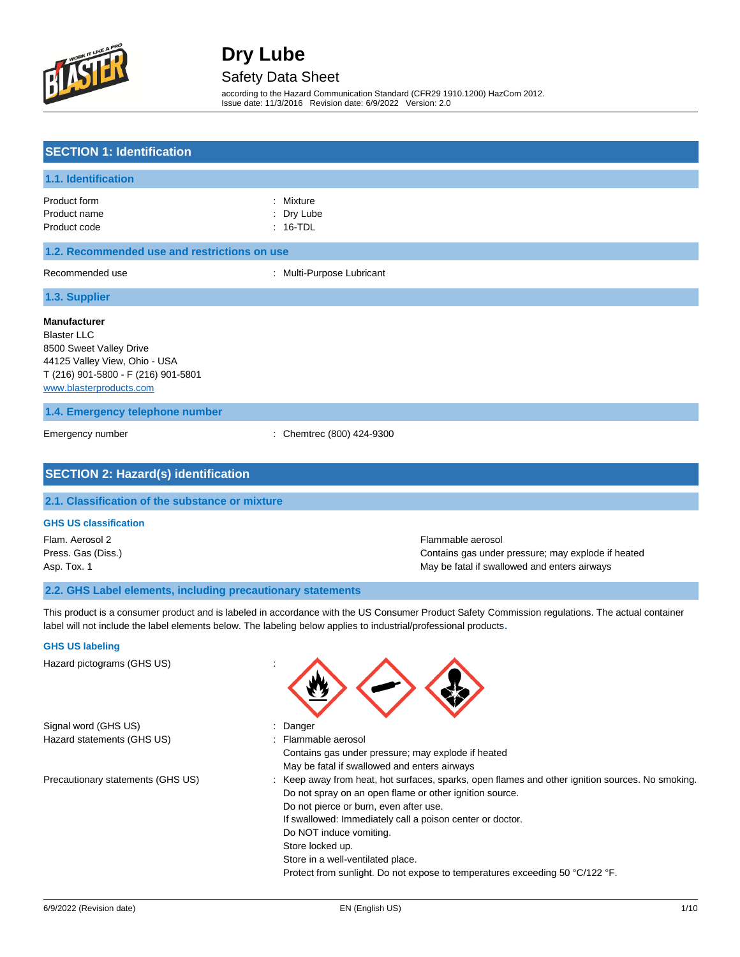

### Safety Data Sheet

according to the Hazard Communication Standard (CFR29 1910.1200) HazCom 2012. Issue date: 11/3/2016 Revision date: 6/9/2022 Version: 2.0

| <b>SECTION 1: Identification</b>                                                                                                                                        |                                    |                   |
|-------------------------------------------------------------------------------------------------------------------------------------------------------------------------|------------------------------------|-------------------|
| 1.1. Identification                                                                                                                                                     |                                    |                   |
| Product form<br>Product name<br>Product code                                                                                                                            | Mixture<br>Dry Lube<br>$: 16$ -TDL |                   |
| 1.2. Recommended use and restrictions on use                                                                                                                            |                                    |                   |
| Recommended use                                                                                                                                                         | : Multi-Purpose Lubricant          |                   |
| 1.3. Supplier                                                                                                                                                           |                                    |                   |
| <b>Manufacturer</b><br><b>Blaster LLC</b><br>8500 Sweet Valley Drive<br>44125 Valley View, Ohio - USA<br>T (216) 901-5800 - F (216) 901-5801<br>www.blasterproducts.com |                                    |                   |
| 1.4. Emergency telephone number                                                                                                                                         |                                    |                   |
| Emergency number                                                                                                                                                        | : Chemtrec (800) 424-9300          |                   |
| <b>SECTION 2: Hazard(s) identification</b>                                                                                                                              |                                    |                   |
| 2.1. Classification of the substance or mixture                                                                                                                         |                                    |                   |
| <b>GHS US classification</b>                                                                                                                                            |                                    |                   |
| Flam. Aerosol 2                                                                                                                                                         |                                    | Flammable aerosol |

Press. Gas (Diss.) Contains gas under pressure; may explode if heated Asp. Tox. 1 May be fatal if swallowed and enters airways

#### **2.2. GHS Label elements, including precautionary statements**

This product is a consumer product and is labeled in accordance with the US Consumer Product Safety Commission regulations. The actual container label will not include the label elements below. The labeling below applies to industrial/professional products**.**

#### **GHS US labeling**

Hazard pictograms (GHS US) : Signal word (GHS US) : Danger Hazard statements (GHS US) : Flammable aerosol Contains gas under pressure; may explode if heated May be fatal if swallowed and enters airways Precautionary statements (GHS US) : Keep away from heat, hot surfaces, sparks, open flames and other ignition sources. No smoking. Do not spray on an open flame or other ignition source. Do not pierce or burn, even after use. If swallowed: Immediately call a poison center or doctor. Do NOT induce vomiting. Store locked up. Store in a well-ventilated place. Protect from sunlight. Do not expose to temperatures exceeding 50 °C/122 °F.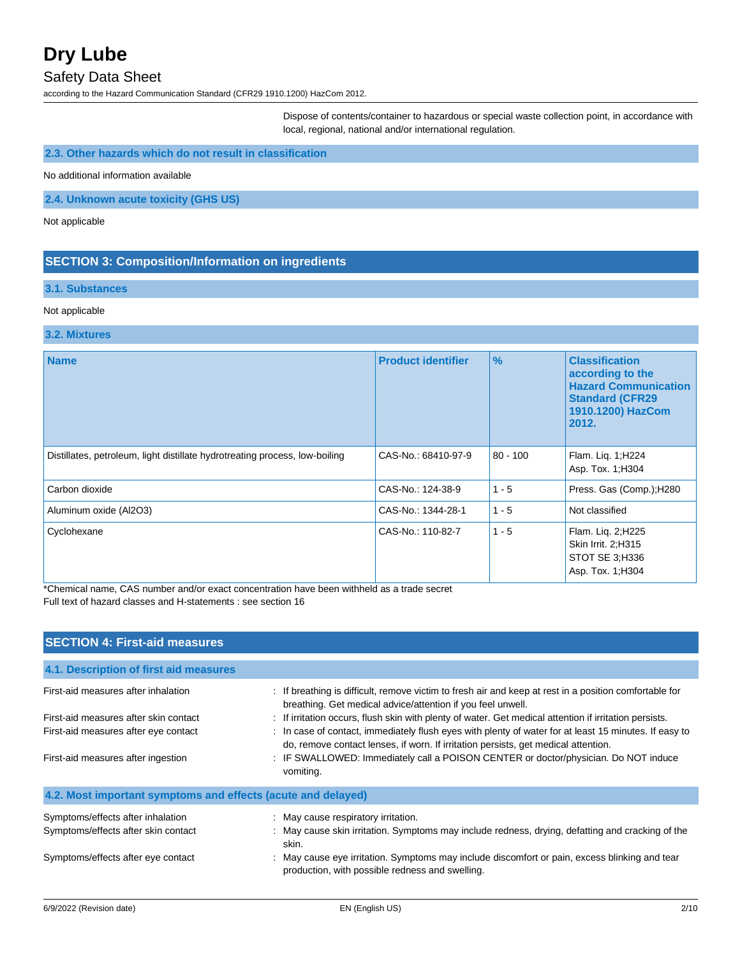#### Safety Data Sheet

according to the Hazard Communication Standard (CFR29 1910.1200) HazCom 2012.

Dispose of contents/container to hazardous or special waste collection point, in accordance with local, regional, national and/or international regulation.

### **2.3. Other hazards which do not result in classification**

No additional information available

**2.4. Unknown acute toxicity (GHS US)**

Not applicable

### **SECTION 3: Composition/Information on ingredients**

#### **3.1. Substances**

#### Not applicable

#### **3.2. Mixtures**

| <b>Name</b>                                                                 | <b>Product identifier</b> | $\frac{9}{6}$ | <b>Classification</b><br>according to the<br><b>Hazard Communication</b><br><b>Standard (CFR29</b><br>1910.1200) HazCom<br>2012. |
|-----------------------------------------------------------------------------|---------------------------|---------------|----------------------------------------------------------------------------------------------------------------------------------|
| Distillates, petroleum, light distillate hydrotreating process, low-boiling | CAS-No.: 68410-97-9       | $80 - 100$    | Flam. Lig. 1;H224<br>Asp. Tox. 1; H304                                                                                           |
| Carbon dioxide                                                              | CAS-No.: 124-38-9         | $1 - 5$       | Press. Gas (Comp.); H280                                                                                                         |
| Aluminum oxide (Al2O3)                                                      | CAS-No.: 1344-28-1        | $1 - 5$       | Not classified                                                                                                                   |
| Cyclohexane                                                                 | CAS-No.: 110-82-7         | $1 - 5$       | Flam. Lig. 2; H225<br>Skin Irrit. 2:H315<br>STOT SE 3;H336<br>Asp. Tox. 1; H304                                                  |

\*Chemical name, CAS number and/or exact concentration have been withheld as a trade secret Full text of hazard classes and H-statements : see section 16

| <b>SECTION 4: First-aid measures</b>                                     |                                                                                                                                                                                             |  |  |
|--------------------------------------------------------------------------|---------------------------------------------------------------------------------------------------------------------------------------------------------------------------------------------|--|--|
| 4.1. Description of first aid measures                                   |                                                                                                                                                                                             |  |  |
| First-aid measures after inhalation                                      | : If breathing is difficult, remove victim to fresh air and keep at rest in a position comfortable for<br>breathing. Get medical advice/attention if you feel unwell.                       |  |  |
| First-aid measures after skin contact                                    | : If irritation occurs, flush skin with plenty of water. Get medical attention if irritation persists.                                                                                      |  |  |
| First-aid measures after eye contact                                     | : In case of contact, immediately flush eyes with plenty of water for at least 15 minutes. If easy to<br>do, remove contact lenses, if worn. If irritation persists, get medical attention. |  |  |
| First-aid measures after ingestion                                       | : IF SWALLOWED: Immediately call a POISON CENTER or doctor/physician. Do NOT induce<br>vomiting.                                                                                            |  |  |
| 4.2. Most important symptoms and effects (acute and delayed)             |                                                                                                                                                                                             |  |  |
| Symptoms/effects after inhalation<br>Symptoms/effects after skin contact | : May cause respiratory irritation.<br>: May cause skin irritation. Symptoms may include redness, drying, defatting and cracking of the<br>skin.                                            |  |  |
| Symptoms/effects after eye contact                                       | : May cause eye irritation. Symptoms may include discomfort or pain, excess blinking and tear<br>production, with possible redness and swelling.                                            |  |  |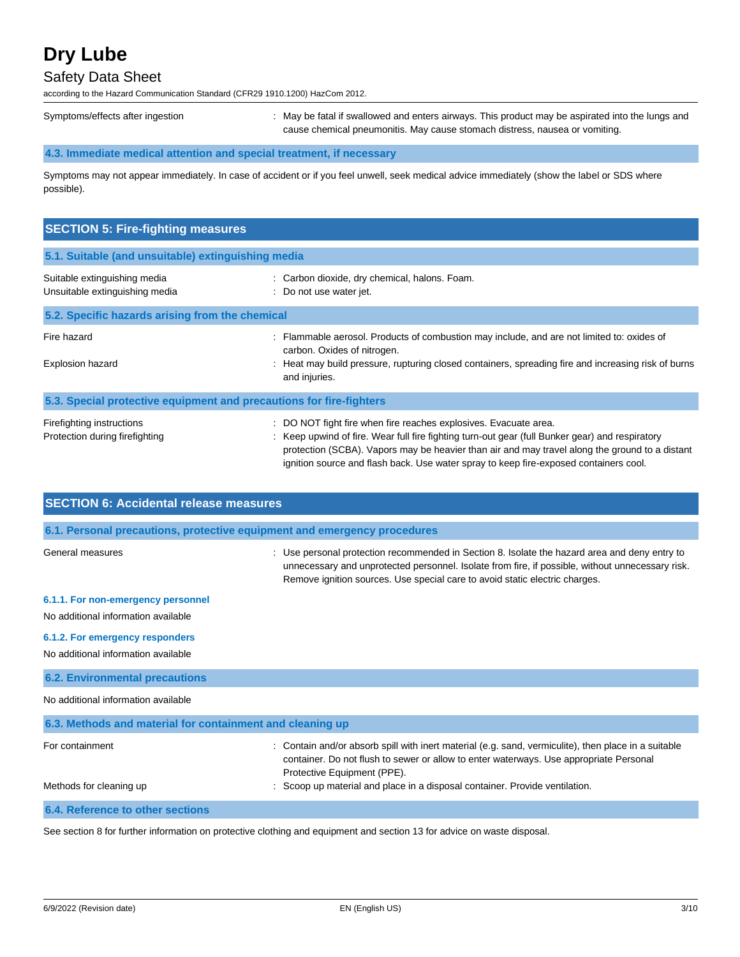## Safety Data Sheet

according to the Hazard Communication Standard (CFR29 1910.1200) HazCom 2012.

Symptoms/effects after ingestion : May be fatal if swallowed and enters airways. This product may be aspirated into the lungs and cause chemical pneumonitis. May cause stomach distress, nausea or vomiting.

### **4.3. Immediate medical attention and special treatment, if necessary**

Symptoms may not appear immediately. In case of accident or if you feel unwell, seek medical advice immediately (show the label or SDS where possible).

| <b>SECTION 5: Fire-fighting measures</b>                            |                                                                                                                                                                                                                                                                                                                                                              |
|---------------------------------------------------------------------|--------------------------------------------------------------------------------------------------------------------------------------------------------------------------------------------------------------------------------------------------------------------------------------------------------------------------------------------------------------|
| 5.1. Suitable (and unsuitable) extinguishing media                  |                                                                                                                                                                                                                                                                                                                                                              |
| Suitable extinguishing media<br>Unsuitable extinguishing media      | : Carbon dioxide, dry chemical, halons. Foam.<br>: Do not use water jet.                                                                                                                                                                                                                                                                                     |
| 5.2. Specific hazards arising from the chemical                     |                                                                                                                                                                                                                                                                                                                                                              |
| Fire hazard<br><b>Explosion hazard</b>                              | : Flammable aerosol. Products of combustion may include, and are not limited to: oxides of<br>carbon. Oxides of nitrogen.<br>Heat may build pressure, rupturing closed containers, spreading fire and increasing risk of burns<br>and injuries.                                                                                                              |
| 5.3. Special protective equipment and precautions for fire-fighters |                                                                                                                                                                                                                                                                                                                                                              |
| Firefighting instructions<br>Protection during firefighting         | : DO NOT fight fire when fire reaches explosives. Evacuate area.<br>Keep upwind of fire. Wear full fire fighting turn-out gear (full Bunker gear) and respiratory<br>protection (SCBA). Vapors may be heavier than air and may travel along the ground to a distant<br>ignition source and flash back. Use water spray to keep fire-exposed containers cool. |

| <b>SECTION 6: Accidental release measures</b>                            |                                                                                                                                                                                                                                                                                  |  |  |
|--------------------------------------------------------------------------|----------------------------------------------------------------------------------------------------------------------------------------------------------------------------------------------------------------------------------------------------------------------------------|--|--|
| 6.1. Personal precautions, protective equipment and emergency procedures |                                                                                                                                                                                                                                                                                  |  |  |
| General measures                                                         | : Use personal protection recommended in Section 8. Isolate the hazard area and deny entry to<br>unnecessary and unprotected personnel. Isolate from fire, if possible, without unnecessary risk.<br>Remove ignition sources. Use special care to avoid static electric charges. |  |  |
| 6.1.1. For non-emergency personnel                                       |                                                                                                                                                                                                                                                                                  |  |  |
| No additional information available                                      |                                                                                                                                                                                                                                                                                  |  |  |
| 6.1.2. For emergency responders                                          |                                                                                                                                                                                                                                                                                  |  |  |
| No additional information available                                      |                                                                                                                                                                                                                                                                                  |  |  |
| <b>6.2. Environmental precautions</b>                                    |                                                                                                                                                                                                                                                                                  |  |  |
| No additional information available                                      |                                                                                                                                                                                                                                                                                  |  |  |
| 6.3. Methods and material for containment and cleaning up                |                                                                                                                                                                                                                                                                                  |  |  |
| For containment                                                          | : Contain and/or absorb spill with inert material (e.g. sand, vermiculite), then place in a suitable<br>container. Do not flush to sewer or allow to enter waterways. Use appropriate Personal<br>Protective Equipment (PPE).                                                    |  |  |
| Methods for cleaning up                                                  | Scoop up material and place in a disposal container. Provide ventilation.                                                                                                                                                                                                        |  |  |
| 6.4. Reference to other sections                                         |                                                                                                                                                                                                                                                                                  |  |  |

See section 8 for further information on protective clothing and equipment and section 13 for advice on waste disposal.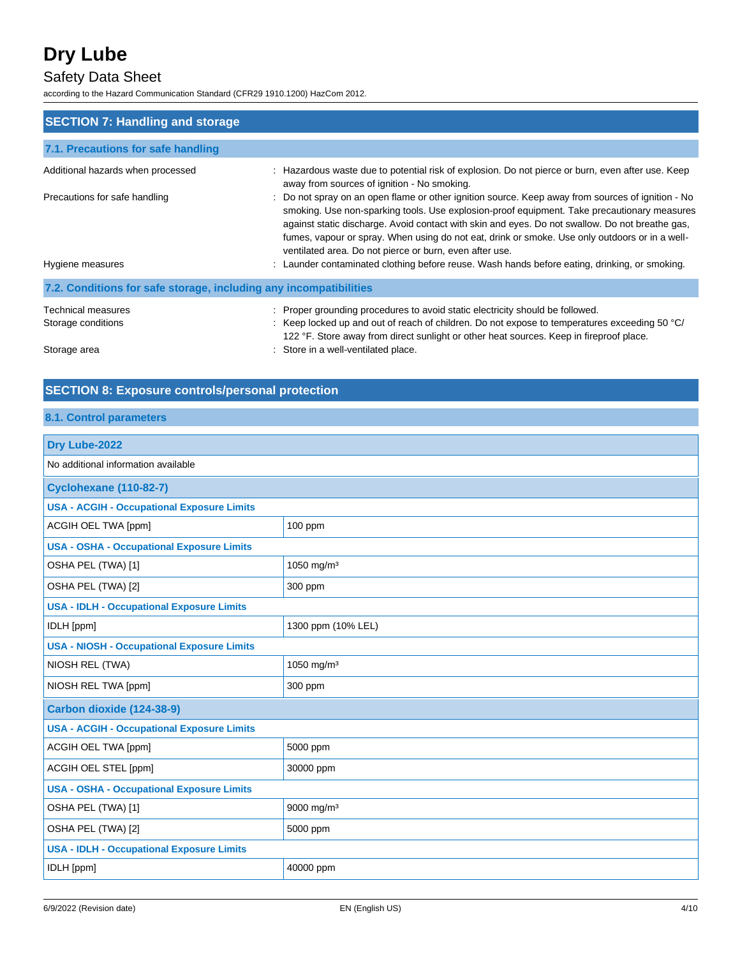## Safety Data Sheet

according to the Hazard Communication Standard (CFR29 1910.1200) HazCom 2012.

| <b>SECTION 7: Handling and storage</b>                            |                                                                                                                                                                                                                                                                                                                                                                                                                                                                  |
|-------------------------------------------------------------------|------------------------------------------------------------------------------------------------------------------------------------------------------------------------------------------------------------------------------------------------------------------------------------------------------------------------------------------------------------------------------------------------------------------------------------------------------------------|
| 7.1. Precautions for safe handling                                |                                                                                                                                                                                                                                                                                                                                                                                                                                                                  |
| Additional hazards when processed                                 | : Hazardous waste due to potential risk of explosion. Do not pierce or burn, even after use. Keep<br>away from sources of ignition - No smoking.                                                                                                                                                                                                                                                                                                                 |
| Precautions for safe handling                                     | : Do not spray on an open flame or other ignition source. Keep away from sources of ignition - No<br>smoking. Use non-sparking tools. Use explosion-proof equipment. Take precautionary measures<br>against static discharge. Avoid contact with skin and eyes. Do not swallow. Do not breathe gas,<br>fumes, vapour or spray. When using do not eat, drink or smoke. Use only outdoors or in a well-<br>ventilated area. Do not pierce or burn, even after use. |
| Hygiene measures                                                  | : Launder contaminated clothing before reuse. Wash hands before eating, drinking, or smoking.                                                                                                                                                                                                                                                                                                                                                                    |
| 7.2. Conditions for safe storage, including any incompatibilities |                                                                                                                                                                                                                                                                                                                                                                                                                                                                  |
| Technical measures                                                | : Proper grounding procedures to avoid static electricity should be followed.                                                                                                                                                                                                                                                                                                                                                                                    |
| Storage conditions                                                | : Keep locked up and out of reach of children. Do not expose to temperatures exceeding 50 $^{\circ}$ C/<br>122 °F. Store away from direct sunlight or other heat sources. Keep in fireproof place.                                                                                                                                                                                                                                                               |
| Storage area                                                      | : Store in a well-ventilated place.                                                                                                                                                                                                                                                                                                                                                                                                                              |

## **SECTION 8: Exposure controls/personal protection**

## **8.1. Control parameters**

| Drv Lube-2022                                     |                        |  |
|---------------------------------------------------|------------------------|--|
| No additional information available               |                        |  |
| <b>Cyclohexane (110-82-7)</b>                     |                        |  |
| <b>USA - ACGIH - Occupational Exposure Limits</b> |                        |  |
| ACGIH OEL TWA [ppm]                               | $100$ ppm              |  |
| <b>USA - OSHA - Occupational Exposure Limits</b>  |                        |  |
| OSHA PEL (TWA) [1]                                | 1050 mg/m <sup>3</sup> |  |
| OSHA PEL (TWA) [2]                                | 300 ppm                |  |
| <b>USA - IDLH - Occupational Exposure Limits</b>  |                        |  |
| IDLH [ppm]                                        | 1300 ppm (10% LEL)     |  |
| <b>USA - NIOSH - Occupational Exposure Limits</b> |                        |  |
| NIOSH REL (TWA)                                   | 1050 mg/m <sup>3</sup> |  |
| NIOSH REL TWA [ppm]                               | 300 ppm                |  |
| Carbon dioxide (124-38-9)                         |                        |  |
| <b>USA - ACGIH - Occupational Exposure Limits</b> |                        |  |
| ACGIH OEL TWA [ppm]                               | 5000 ppm               |  |
| ACGIH OEL STEL [ppm]                              | 30000 ppm              |  |
| <b>USA - OSHA - Occupational Exposure Limits</b>  |                        |  |
| OSHA PEL (TWA) [1]                                | 9000 mg/m <sup>3</sup> |  |
| OSHA PEL (TWA) [2]                                | 5000 ppm               |  |
| <b>USA - IDLH - Occupational Exposure Limits</b>  |                        |  |
| IDLH [ppm]                                        | 40000 ppm              |  |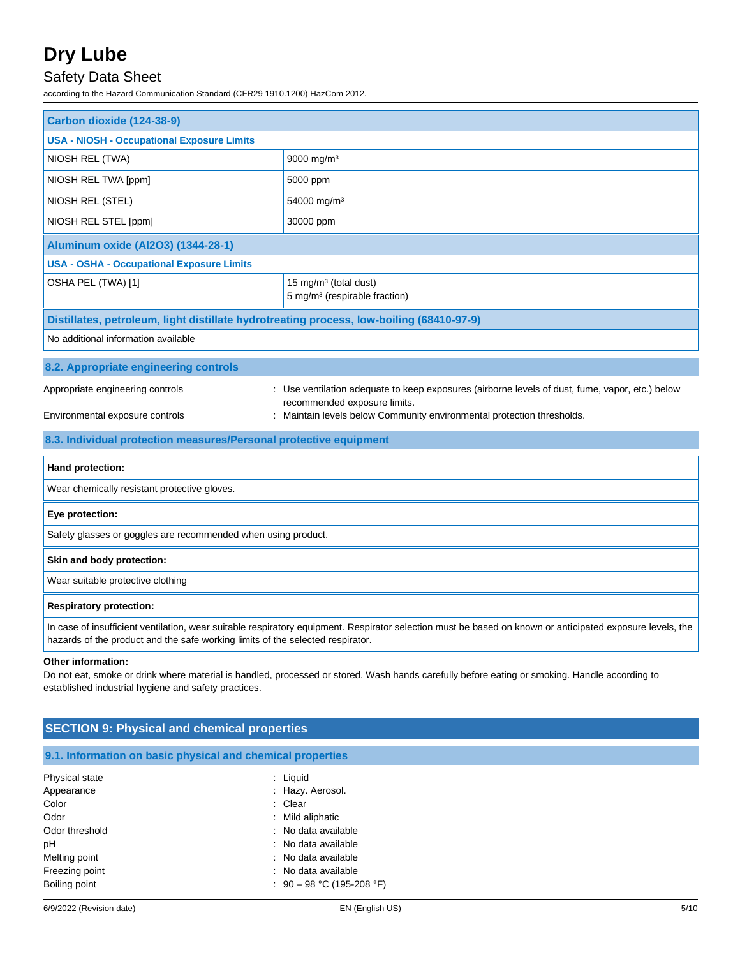## Safety Data Sheet

according to the Hazard Communication Standard (CFR29 1910.1200) HazCom 2012.

| Carbon dioxide (124-38-9)                                                                                                                                                                                                                   |                                                                                                                                 |  |  |
|---------------------------------------------------------------------------------------------------------------------------------------------------------------------------------------------------------------------------------------------|---------------------------------------------------------------------------------------------------------------------------------|--|--|
| <b>USA - NIOSH - Occupational Exposure Limits</b>                                                                                                                                                                                           |                                                                                                                                 |  |  |
| NIOSH REL (TWA)                                                                                                                                                                                                                             | 9000 mg/m <sup>3</sup>                                                                                                          |  |  |
| NIOSH REL TWA [ppm]                                                                                                                                                                                                                         | 5000 ppm                                                                                                                        |  |  |
| NIOSH REL (STEL)                                                                                                                                                                                                                            | 54000 mg/m <sup>3</sup>                                                                                                         |  |  |
| NIOSH REL STEL [ppm]                                                                                                                                                                                                                        | 30000 ppm                                                                                                                       |  |  |
| <b>Aluminum oxide (Al2O3) (1344-28-1)</b>                                                                                                                                                                                                   |                                                                                                                                 |  |  |
| <b>USA - OSHA - Occupational Exposure Limits</b>                                                                                                                                                                                            |                                                                                                                                 |  |  |
| OSHA PEL (TWA) [1]                                                                                                                                                                                                                          | 15 mg/m <sup>3</sup> (total dust)<br>5 mg/m <sup>3</sup> (respirable fraction)                                                  |  |  |
| Distillates, petroleum, light distillate hydrotreating process, low-boiling (68410-97-9)                                                                                                                                                    |                                                                                                                                 |  |  |
| No additional information available                                                                                                                                                                                                         |                                                                                                                                 |  |  |
| 8.2. Appropriate engineering controls                                                                                                                                                                                                       |                                                                                                                                 |  |  |
| Appropriate engineering controls                                                                                                                                                                                                            | : Use ventilation adequate to keep exposures (airborne levels of dust, fume, vapor, etc.) below<br>recommended exposure limits. |  |  |
| Environmental exposure controls                                                                                                                                                                                                             | : Maintain levels below Community environmental protection thresholds.                                                          |  |  |
| 8.3. Individual protection measures/Personal protective equipment                                                                                                                                                                           |                                                                                                                                 |  |  |
| Hand protection:                                                                                                                                                                                                                            |                                                                                                                                 |  |  |
| Wear chemically resistant protective gloves.                                                                                                                                                                                                |                                                                                                                                 |  |  |
| Eye protection:                                                                                                                                                                                                                             |                                                                                                                                 |  |  |
| Safety glasses or goggles are recommended when using product.                                                                                                                                                                               |                                                                                                                                 |  |  |
| Skin and body protection:                                                                                                                                                                                                                   |                                                                                                                                 |  |  |
| Wear suitable protective clothing                                                                                                                                                                                                           |                                                                                                                                 |  |  |
| <b>Respiratory protection:</b>                                                                                                                                                                                                              |                                                                                                                                 |  |  |
| In case of insufficient ventilation, wear suitable respiratory equipment. Respirator selection must be based on known or anticipated exposure levels, the<br>hazards of the product and the safe working limits of the selected respirator. |                                                                                                                                 |  |  |
| Other information.                                                                                                                                                                                                                          |                                                                                                                                 |  |  |

#### **Other information:**

Do not eat, smoke or drink where material is handled, processed or stored. Wash hands carefully before eating or smoking. Handle according to established industrial hygiene and safety practices.

### **9.1. Information on basic physical and chemical properties**

| Physical state | : Liquid                    |
|----------------|-----------------------------|
| Appearance     | : Hazy. Aerosol.            |
| Color          | : Clear                     |
| Odor           | : Mild aliphatic            |
| Odor threshold | : No data available         |
| рH             | : No data available         |
| Melting point  | : No data available         |
| Freezing point | : No data available         |
| Boiling point  | : $90 - 98$ °C (195-208 °F) |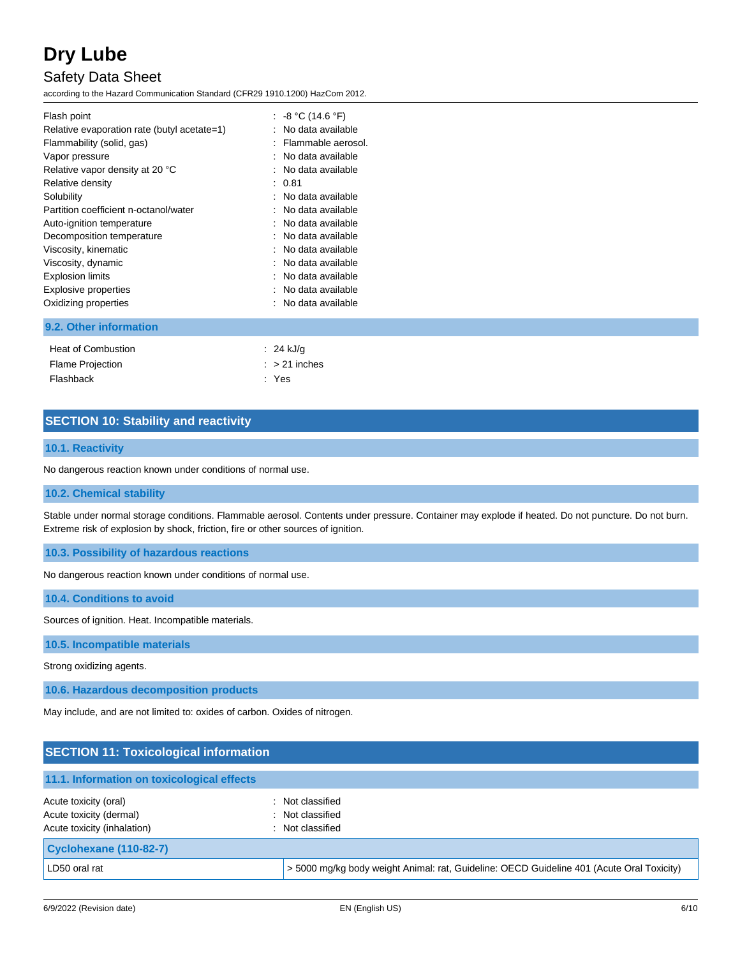## Safety Data Sheet

according to the Hazard Communication Standard (CFR29 1910.1200) HazCom 2012.

|  | Flash point<br>Relative evaporation rate (butyl acetate=1)<br>Flammability (solid, gas)<br>Vapor pressure<br>Relative vapor density at 20 °C<br>Relative density<br>Solubility<br>Partition coefficient n-octanol/water<br>Auto-ignition temperature<br>Decomposition temperature<br>Viscosity, kinematic<br>Viscosity, dynamic<br><b>Explosion limits</b><br>Explosive properties<br>Oxidizing properties | : $-8 °C$ (14.6 °F)<br>: No data available<br>: Flammable aerosol.<br>: No data available<br>: No data available<br>: 0.81<br>: No data available<br>: No data available<br>: No data available<br>: No data available<br>∴ No data available.<br>: No data available<br>: No data available<br>: No data available<br>: No data available |
|--|------------------------------------------------------------------------------------------------------------------------------------------------------------------------------------------------------------------------------------------------------------------------------------------------------------------------------------------------------------------------------------------------------------|--------------------------------------------------------------------------------------------------------------------------------------------------------------------------------------------------------------------------------------------------------------------------------------------------------------------------------------------|
|--|------------------------------------------------------------------------------------------------------------------------------------------------------------------------------------------------------------------------------------------------------------------------------------------------------------------------------------------------------------------------------------------------------------|--------------------------------------------------------------------------------------------------------------------------------------------------------------------------------------------------------------------------------------------------------------------------------------------------------------------------------------------|

### **9.2. Other information**

| Heat of Combustion      | : 24 kJ/g       |
|-------------------------|-----------------|
| <b>Flame Projection</b> | $:$ > 21 inches |
| Flashback               | : Yes           |

### **SECTION 10: Stability and reactivity**

#### **10.1. Reactivity**

No dangerous reaction known under conditions of normal use.

#### **10.2. Chemical stability**

Stable under normal storage conditions. Flammable aerosol. Contents under pressure. Container may explode if heated. Do not puncture. Do not burn. Extreme risk of explosion by shock, friction, fire or other sources of ignition.

**10.3. Possibility of hazardous reactions**

No dangerous reaction known under conditions of normal use.

**10.4. Conditions to avoid**

Sources of ignition. Heat. Incompatible materials.

#### **10.5. Incompatible materials**

Strong oxidizing agents.

**10.6. Hazardous decomposition products**

May include, and are not limited to: oxides of carbon. Oxides of nitrogen.

| <b>SECTION 11: Toxicological information</b>                                    |                                                                                           |
|---------------------------------------------------------------------------------|-------------------------------------------------------------------------------------------|
| 11.1. Information on toxicological effects                                      |                                                                                           |
| Acute toxicity (oral)<br>Acute toxicity (dermal)<br>Acute toxicity (inhalation) | Not classified<br>: Not classified<br>: Not classified                                    |
| Cyclohexane (110-82-7)                                                          |                                                                                           |
| LD50 oral rat                                                                   | > 5000 mg/kg body weight Animal: rat, Guideline: OECD Guideline 401 (Acute Oral Toxicity) |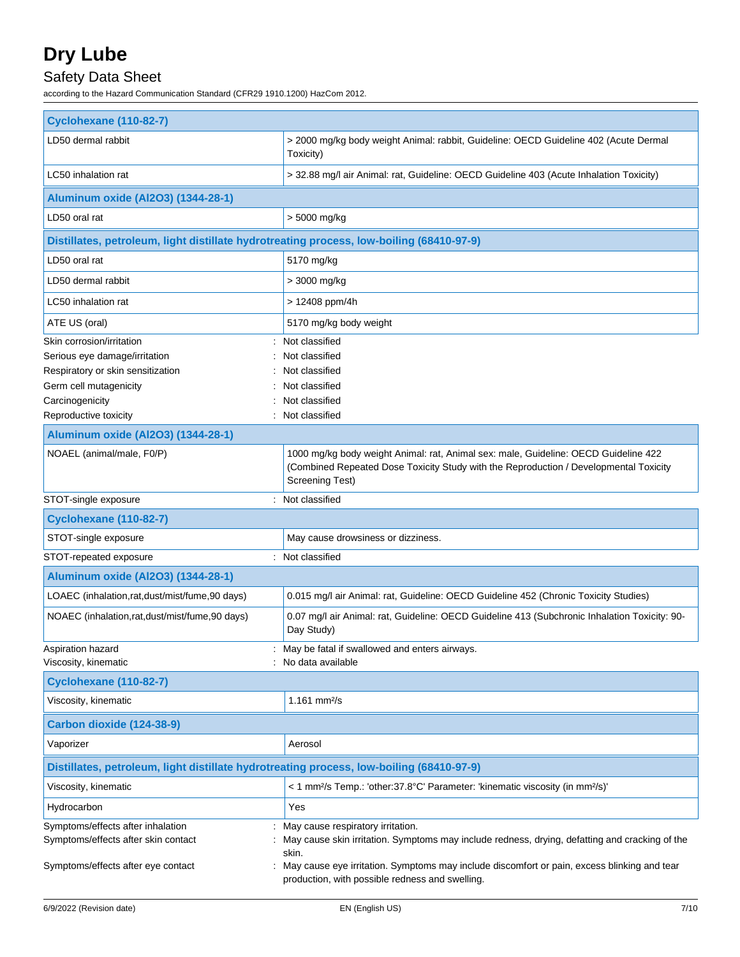## Safety Data Sheet

according to the Hazard Communication Standard (CFR29 1910.1200) HazCom 2012.

| <b>Cyclohexane (110-82-7)</b>                                                                                  |                                                                                                                                                                                                                                                                                                |
|----------------------------------------------------------------------------------------------------------------|------------------------------------------------------------------------------------------------------------------------------------------------------------------------------------------------------------------------------------------------------------------------------------------------|
| LD50 dermal rabbit                                                                                             | > 2000 mg/kg body weight Animal: rabbit, Guideline: OECD Guideline 402 (Acute Dermal<br>Toxicity)                                                                                                                                                                                              |
| LC50 inhalation rat                                                                                            | > 32.88 mg/l air Animal: rat, Guideline: OECD Guideline 403 (Acute Inhalation Toxicity)                                                                                                                                                                                                        |
| Aluminum oxide (Al2O3) (1344-28-1)                                                                             |                                                                                                                                                                                                                                                                                                |
| LD50 oral rat                                                                                                  | > 5000 mg/kg                                                                                                                                                                                                                                                                                   |
| Distillates, petroleum, light distillate hydrotreating process, low-boiling (68410-97-9)                       |                                                                                                                                                                                                                                                                                                |
| LD50 oral rat                                                                                                  | 5170 mg/kg                                                                                                                                                                                                                                                                                     |
| LD50 dermal rabbit                                                                                             | > 3000 mg/kg                                                                                                                                                                                                                                                                                   |
| LC50 inhalation rat                                                                                            | > 12408 ppm/4h                                                                                                                                                                                                                                                                                 |
| ATE US (oral)                                                                                                  | 5170 mg/kg body weight                                                                                                                                                                                                                                                                         |
| Skin corrosion/irritation<br>Serious eye damage/irritation<br>Respiratory or skin sensitization                | Not classified<br>Not classified<br>Not classified                                                                                                                                                                                                                                             |
| Germ cell mutagenicity                                                                                         | Not classified                                                                                                                                                                                                                                                                                 |
| Carcinogenicity                                                                                                | Not classified                                                                                                                                                                                                                                                                                 |
| Reproductive toxicity                                                                                          | Not classified                                                                                                                                                                                                                                                                                 |
| Aluminum oxide (Al2O3) (1344-28-1)                                                                             |                                                                                                                                                                                                                                                                                                |
| NOAEL (animal/male, F0/P)                                                                                      | 1000 mg/kg body weight Animal: rat, Animal sex: male, Guideline: OECD Guideline 422<br>(Combined Repeated Dose Toxicity Study with the Reproduction / Developmental Toxicity<br>Screening Test)                                                                                                |
| STOT-single exposure                                                                                           | : Not classified                                                                                                                                                                                                                                                                               |
| <b>Cyclohexane (110-82-7)</b>                                                                                  |                                                                                                                                                                                                                                                                                                |
| STOT-single exposure                                                                                           | May cause drowsiness or dizziness.                                                                                                                                                                                                                                                             |
| STOT-repeated exposure                                                                                         | : Not classified                                                                                                                                                                                                                                                                               |
| <b>Aluminum oxide (Al2O3) (1344-28-1)</b>                                                                      |                                                                                                                                                                                                                                                                                                |
| LOAEC (inhalation, rat, dust/mist/fume, 90 days)                                                               | 0.015 mg/l air Animal: rat, Guideline: OECD Guideline 452 (Chronic Toxicity Studies)                                                                                                                                                                                                           |
| NOAEC (inhalation.rat.dust/mist/fume.90 days)                                                                  | 0.07 mg/l air Animal: rat, Guideline: OECD Guideline 413 (Subchronic Inhalation Toxicity: 90-<br>Day Study)                                                                                                                                                                                    |
| Aspiration hazard<br>Viscosity, kinematic                                                                      | : May be fatal if swallowed and enters airways.<br>: No data available                                                                                                                                                                                                                         |
| <b>Cyclohexane (110-82-7)</b>                                                                                  |                                                                                                                                                                                                                                                                                                |
| Viscosity, kinematic                                                                                           | 1.161 $mm^{2}/s$                                                                                                                                                                                                                                                                               |
| Carbon dioxide (124-38-9)                                                                                      |                                                                                                                                                                                                                                                                                                |
| Vaporizer                                                                                                      | Aerosol                                                                                                                                                                                                                                                                                        |
| Distillates, petroleum, light distillate hydrotreating process, low-boiling (68410-97-9)                       |                                                                                                                                                                                                                                                                                                |
| Viscosity, kinematic                                                                                           | < 1 mm <sup>2</sup> /s Temp.: 'other:37.8°C' Parameter: 'kinematic viscosity (in mm <sup>2</sup> /s)'                                                                                                                                                                                          |
| Hydrocarbon                                                                                                    | Yes                                                                                                                                                                                                                                                                                            |
| Symptoms/effects after inhalation<br>Symptoms/effects after skin contact<br>Symptoms/effects after eye contact | May cause respiratory irritation.<br>May cause skin irritation. Symptoms may include redness, drying, defatting and cracking of the<br>skin.<br>May cause eye irritation. Symptoms may include discomfort or pain, excess blinking and tear<br>production, with possible redness and swelling. |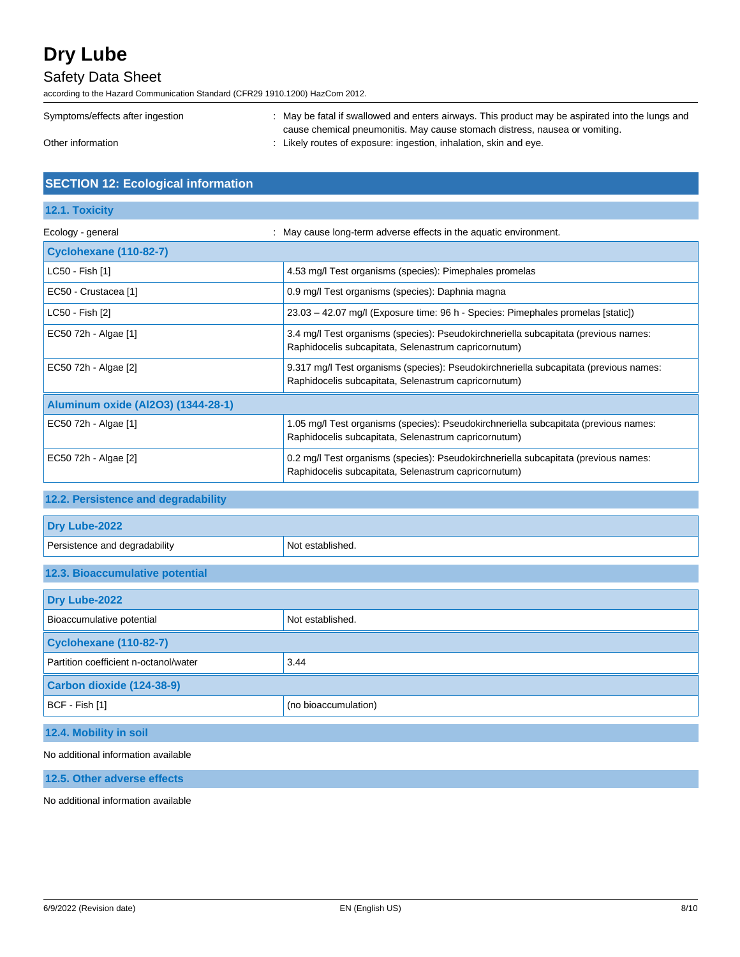### Safety Data Sheet

according to the Hazard Communication Standard (CFR29 1910.1200) HazCom 2012.

| Symptoms/effects after ingestion | May be fatal if swallowed and enters airways. This product may be aspirated into the lungs and |
|----------------------------------|------------------------------------------------------------------------------------------------|
|                                  | cause chemical pneumonitis. May cause stomach distress, nausea or vomiting.                    |
| Other information                | Likely routes of exposure: ingestion, inhalation, skin and eye.                                |

### **SECTION 12: Ecological information**

### **12.1. Toxicity**

| Ecology - general                  | May cause long-term adverse effects in the aquatic environment.                                                                               |
|------------------------------------|-----------------------------------------------------------------------------------------------------------------------------------------------|
| <b>Cyclohexane (110-82-7)</b>      |                                                                                                                                               |
| LC50 - Fish [1]                    | 4.53 mg/l Test organisms (species): Pimephales promelas                                                                                       |
| EC50 - Crustacea [1]               | 0.9 mg/l Test organisms (species): Daphnia magna                                                                                              |
| LC50 - Fish [2]                    | 23.03 - 42.07 mg/l (Exposure time: 96 h - Species: Pimephales promelas [static])                                                              |
| EC50 72h - Algae [1]               | 3.4 mg/l Test organisms (species): Pseudokirchneriella subcapitata (previous names:<br>Raphidocelis subcapitata, Selenastrum capricornutum)   |
| EC50 72h - Algae [2]               | 9.317 mg/l Test organisms (species): Pseudokirchneriella subcapitata (previous names:<br>Raphidocelis subcapitata, Selenastrum capricornutum) |
| Aluminum oxide (Al2O3) (1344-28-1) |                                                                                                                                               |
| EC50 72h - Algae [1]               | 1.05 mg/l Test organisms (species): Pseudokirchneriella subcapitata (previous names:<br>Raphidocelis subcapitata, Selenastrum capricornutum)  |
| EC50 72h - Algae [2]               | 0.2 mg/l Test organisms (species): Pseudokirchneriella subcapitata (previous names:<br>Raphidocelis subcapitata, Selenastrum capricornutum)   |

## **12.2. Persistence and degradability**

| Dry Lube-2022                         |                      |
|---------------------------------------|----------------------|
| Persistence and degradability         | Not established.     |
| 12.3. Bioaccumulative potential       |                      |
| Dry Lube-2022                         |                      |
| Bioaccumulative potential             | Not established.     |
| <b>Cyclohexane (110-82-7)</b>         |                      |
| Partition coefficient n-octanol/water | 3.44                 |
| Carbon dioxide (124-38-9)             |                      |
| BCF - Fish [1]                        | (no bioaccumulation) |
| 12.4. Mobility in soil                |                      |

No additional information available

**12.5. Other adverse effects**

No additional information available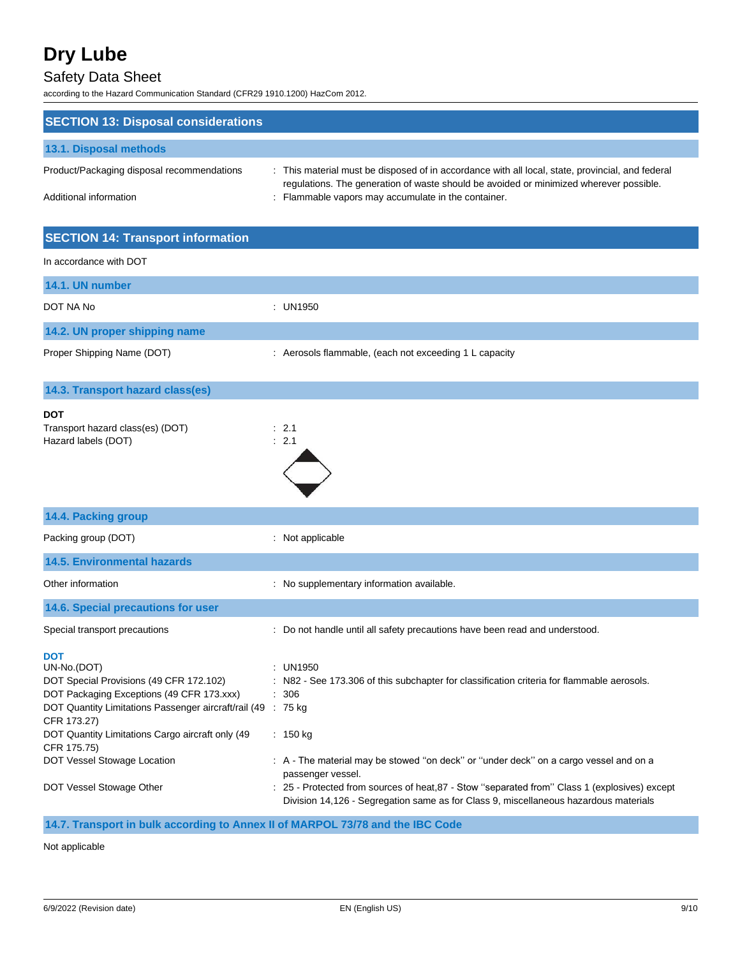## Safety Data Sheet

according to the Hazard Communication Standard (CFR29 1910.1200) HazCom 2012.

| <b>SECTION 13: Disposal considerations</b>                                                                                                                                                                                                                          |                                                                                                                                                                                                                                                 |
|---------------------------------------------------------------------------------------------------------------------------------------------------------------------------------------------------------------------------------------------------------------------|-------------------------------------------------------------------------------------------------------------------------------------------------------------------------------------------------------------------------------------------------|
| 13.1. Disposal methods                                                                                                                                                                                                                                              |                                                                                                                                                                                                                                                 |
| Product/Packaging disposal recommendations<br>Additional information                                                                                                                                                                                                | : This material must be disposed of in accordance with all local, state, provincial, and federal<br>regulations. The generation of waste should be avoided or minimized wherever possible.<br>Flammable vapors may accumulate in the container. |
| <b>SECTION 14: Transport information</b>                                                                                                                                                                                                                            |                                                                                                                                                                                                                                                 |
| In accordance with DOT                                                                                                                                                                                                                                              |                                                                                                                                                                                                                                                 |
| 14.1. UN number                                                                                                                                                                                                                                                     |                                                                                                                                                                                                                                                 |
| DOT NA No                                                                                                                                                                                                                                                           | : UN1950                                                                                                                                                                                                                                        |
| 14.2. UN proper shipping name                                                                                                                                                                                                                                       |                                                                                                                                                                                                                                                 |
| Proper Shipping Name (DOT)                                                                                                                                                                                                                                          | : Aerosols flammable, (each not exceeding 1 L capacity                                                                                                                                                                                          |
| 14.3. Transport hazard class(es)                                                                                                                                                                                                                                    |                                                                                                                                                                                                                                                 |
| <b>DOT</b><br>Transport hazard class(es) (DOT)<br>Hazard labels (DOT)                                                                                                                                                                                               | $\therefore$ 2.1<br>: 2.1                                                                                                                                                                                                                       |
| 14.4. Packing group                                                                                                                                                                                                                                                 |                                                                                                                                                                                                                                                 |
| Packing group (DOT)                                                                                                                                                                                                                                                 | : Not applicable                                                                                                                                                                                                                                |
| <b>14.5. Environmental hazards</b>                                                                                                                                                                                                                                  |                                                                                                                                                                                                                                                 |
| Other information                                                                                                                                                                                                                                                   | : No supplementary information available.                                                                                                                                                                                                       |
| 14.6. Special precautions for user                                                                                                                                                                                                                                  |                                                                                                                                                                                                                                                 |
| Special transport precautions                                                                                                                                                                                                                                       | : Do not handle until all safety precautions have been read and understood.                                                                                                                                                                     |
| <b>DOT</b><br>UN-No.(DOT)<br>DOT Special Provisions (49 CFR 172.102)<br>DOT Packaging Exceptions (49 CFR 173.xxx)<br>DOT Quantity Limitations Passenger aircraft/rail (49 : 75 kg<br>CFR 173.27)<br>DOT Quantity Limitations Cargo aircraft only (49<br>CFR 175.75) | <b>UN1950</b><br>N82 - See 173.306 of this subchapter for classification criteria for flammable aerosols.<br>: 306<br>$: 150$ kg                                                                                                                |
| DOT Vessel Stowage Location<br>DOT Vessel Stowage Other                                                                                                                                                                                                             | : A - The material may be stowed "on deck" or "under deck" on a cargo vessel and on a<br>passenger vessel.<br>: 25 - Protected from sources of heat, 87 - Stow "separated from" Class 1 (explosives) except                                     |

**14.7. Transport in bulk according to Annex II of MARPOL 73/78 and the IBC Code**

Not applicable

Division 14,126 - Segregation same as for Class 9, miscellaneous hazardous materials